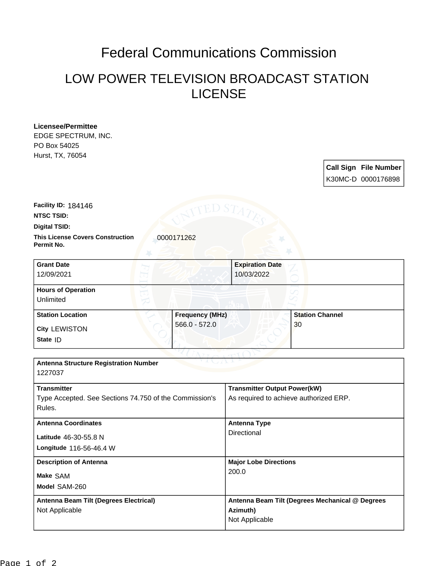## Federal Communications Commission

## LOW POWER TELEVISION BROADCAST STATION LICENSE

| Licensee/Permittee                                      |                        |                                        |                                                 |  |
|---------------------------------------------------------|------------------------|----------------------------------------|-------------------------------------------------|--|
| EDGE SPECTRUM, INC.                                     |                        |                                        |                                                 |  |
| PO Box 54025                                            |                        |                                        |                                                 |  |
| Hurst, TX, 76054                                        |                        |                                        |                                                 |  |
|                                                         |                        |                                        | <b>Call Sign File Number</b>                    |  |
|                                                         |                        |                                        | K30MC-D 0000176898                              |  |
| Facility ID: 184146                                     | ED ST                  |                                        |                                                 |  |
| <b>NTSC TSID:</b>                                       |                        |                                        |                                                 |  |
| Digital TSID:                                           |                        |                                        |                                                 |  |
| <b>This License Covers Construction</b><br>Permit No.   | 0000171262             |                                        |                                                 |  |
| <b>Grant Date</b>                                       |                        | <b>Expiration Date</b>                 |                                                 |  |
| 12/09/2021                                              |                        | 10/03/2022                             |                                                 |  |
| <b>Hours of Operation</b>                               |                        |                                        |                                                 |  |
| Unlimited                                               |                        |                                        |                                                 |  |
| <b>Station Location</b>                                 | <b>Frequency (MHz)</b> |                                        | <b>Station Channel</b>                          |  |
| <b>City LEWISTON</b>                                    | 566.0 - 572.0          |                                        | 30                                              |  |
| State ID                                                |                        |                                        |                                                 |  |
|                                                         |                        |                                        |                                                 |  |
| <b>Antenna Structure Registration Number</b><br>1227037 |                        |                                        |                                                 |  |
| <b>Transmitter</b>                                      |                        | <b>Transmitter Output Power(kW)</b>    |                                                 |  |
| Type Accepted. See Sections 74.750 of the Commission's  |                        | As required to achieve authorized ERP. |                                                 |  |
| Rules.                                                  |                        |                                        |                                                 |  |
| <b>Antenna Coordinates</b>                              |                        | <b>Antenna Type</b>                    |                                                 |  |
| Latitude 46-30-55.8 N                                   |                        | Directional                            |                                                 |  |
| Longitude 116-56-46.4 W                                 |                        |                                        |                                                 |  |
| <b>Description of Antenna</b>                           |                        | <b>Major Lobe Directions</b>           |                                                 |  |
| Make SAM                                                |                        | 200.0                                  |                                                 |  |
| Model SAM-260                                           |                        |                                        |                                                 |  |
| <b>Antenna Beam Tilt (Degrees Electrical)</b>           |                        |                                        | Antenna Beam Tilt (Degrees Mechanical @ Degrees |  |
| Not Applicable                                          |                        | Azimuth)                               |                                                 |  |
|                                                         |                        | Not Applicable                         |                                                 |  |
|                                                         |                        |                                        |                                                 |  |